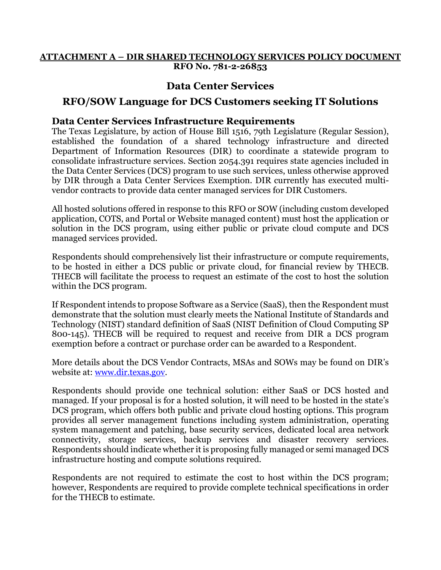#### **ATTACHMENT A – DIR SHARED TECHNOLOGY SERVICES POLICY DOCUMENT RFO No. 781-2-26853**

## **Data Center Services**

# **RFO/SOW Language for DCS Customers seeking IT Solutions**

#### **Data Center Services Infrastructure Requirements**

 Department of Information Resources (DIR) to coordinate a statewide program to The Texas Legislature, by action of House Bill 1516, 79th Legislature (Regular Session), established the foundation of a shared technology infrastructure and directed consolidate infrastructure services. Section 2054.391 requires state agencies included in the Data Center Services (DCS) program to use such services, unless otherwise approved by DIR through a Data Center Services Exemption. DIR currently has executed multivendor contracts to provide data center managed services for DIR Customers.

All hosted solutions offered in response to this RFO or SOW (including custom developed application, COTS, and Portal or Website managed content) must host the application or solution in the DCS program, using either public or private cloud compute and DCS managed services provided.

Respondents should comprehensively list their infrastructure or compute requirements, to be hosted in either a DCS public or private cloud, for financial review by THECB. THECB will facilitate the process to request an estimate of the cost to host the solution within the DCS program.

If Respondent intends to propose Software as a Service (SaaS), then the Respondent must demonstrate that the solution must clearly meets the National Institute of Standards and Technology (NIST) standard definition of SaaS (NIST Definition of Cloud Computing SP 800-145). THECB will be required to request and receive from DIR a DCS program exemption before a contract or purchase order can be awarded to a Respondent.

More details about the DCS Vendor Contracts, MSAs and SOWs may be found on DIR's website at: [www.dir.texas.gov.](http://www.dir.texas.gov/)

 managed. If your proposal is for a hosted solution, it will need to be hosted in the state's Respondents should provide one technical solution: either SaaS or DCS hosted and DCS program, which offers both public and private cloud hosting options. This program provides all server management functions including system administration, operating system management and patching, base security services, dedicated local area network connectivity, storage services, backup services and disaster recovery services. Respondents should indicate whether it is proposing fully managed or semi managed DCS infrastructure hosting and compute solutions required.

Respondents are not required to estimate the cost to host within the DCS program; however, Respondents are required to provide complete technical specifications in order for the THECB to estimate.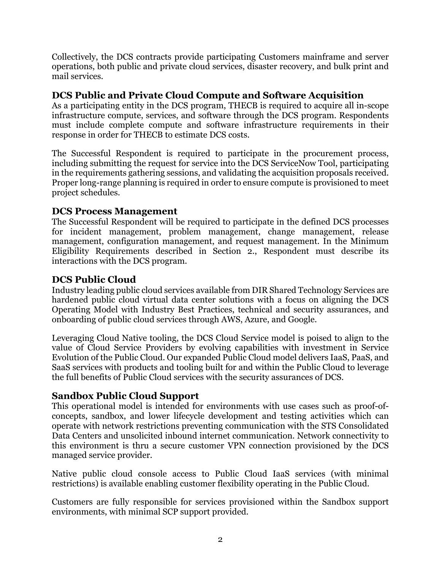Collectively, the DCS contracts provide participating Customers mainframe and server operations, both public and private cloud services, disaster recovery, and bulk print and mail services.

#### **DCS Public and Private Cloud Compute and Software Acquisition**

 As a participating entity in the DCS program, THECB is required to acquire all in-scope infrastructure compute, services, and software through the DCS program. Respondents must include complete compute and software infrastructure requirements in their response in order for THECB to estimate DCS costs.

The Successful Respondent is required to participate in the procurement process, including submitting the request for service into the DCS ServiceNow Tool, participating in the requirements gathering sessions, and validating the acquisition proposals received. Proper long-range planning is required in order to ensure compute is provisioned to meet project schedules.

#### **DCS Process Management**

The Successful Respondent will be required to participate in the defined DCS processes for incident management, problem management, change management, release management, configuration management, and request management. In the Minimum Eligibility Requirements described in Section 2., Respondent must describe its interactions with the DCS program.

## **DCS Public Cloud**

 hardened public cloud virtual data center solutions with a focus on aligning the DCS Industry leading public cloud services available from DIR Shared Technology Services are Operating Model with Industry Best Practices, technical and security assurances, and onboarding of public cloud services through AWS, Azure, and Google.

Leveraging Cloud Native tooling, the DCS Cloud Service model is poised to align to the value of Cloud Service Providers by evolving capabilities with investment in Service Evolution of the Public Cloud. Our expanded Public Cloud model delivers IaaS, PaaS, and SaaS services with products and tooling built for and within the Public Cloud to leverage the full benefits of Public Cloud services with the security assurances of DCS.

#### **Sandbox Public Cloud Support**

This operational model is intended for environments with use cases such as proof-ofconcepts, sandbox, and lower lifecycle development and testing activities which can operate with network restrictions preventing communication with the STS Consolidated Data Centers and unsolicited inbound internet communication. Network connectivity to this environment is thru a secure customer VPN connection provisioned by the DCS managed service provider.

Native public cloud console access to Public Cloud IaaS services (with minimal restrictions) is available enabling customer flexibility operating in the Public Cloud.

Customers are fully responsible for services provisioned within the Sandbox support environments, with minimal SCP support provided.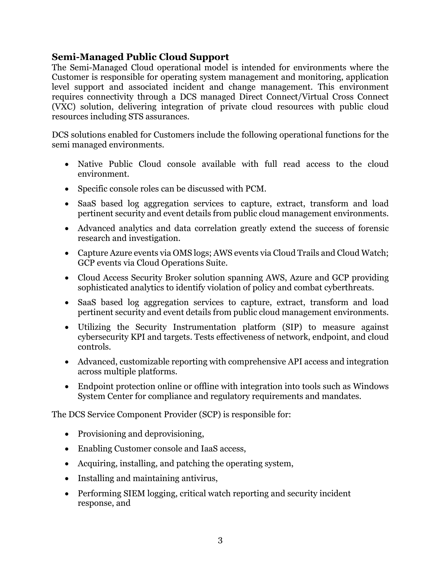## **Semi-Managed Public Cloud Support**

 requires connectivity through a DCS managed Direct Connect/Virtual Cross Connect The Semi-Managed Cloud operational model is intended for environments where the Customer is responsible for operating system management and monitoring, application level support and associated incident and change management. This environment (VXC) solution, delivering integration of private cloud resources with public cloud resources including STS assurances.

DCS solutions enabled for Customers include the following operational functions for the semi managed environments.

- Native Public Cloud console available with full read access to the cloud environment.
- Specific console roles can be discussed with PCM.
- SaaS based log aggregation services to capture, extract, transform and load pertinent security and event details from public cloud management environments.
- Advanced analytics and data correlation greatly extend the success of forensic research and investigation.
- Capture Azure events via OMS logs; AWS events via Cloud Trails and Cloud Watch; GCP events via Cloud Operations Suite.
- Cloud Access Security Broker solution spanning AWS, Azure and GCP providing sophisticated analytics to identify violation of policy and combat cyberthreats.
- SaaS based log aggregation services to capture, extract, transform and load pertinent security and event details from public cloud management environments.
- Utilizing the Security Instrumentation platform (SIP) to measure against cybersecurity KPI and targets. Tests effectiveness of network, endpoint, and cloud controls.
- Advanced, customizable reporting with comprehensive API access and integration across multiple platforms.
- Endpoint protection online or offline with integration into tools such as Windows System Center for compliance and regulatory requirements and mandates.

The DCS Service Component Provider (SCP) is responsible for:

- Provisioning and deprovisioning,
- Enabling Customer console and IaaS access,
- Acquiring, installing, and patching the operating system,
- Installing and maintaining antivirus,
- Performing SIEM logging, critical watch reporting and security incident response, and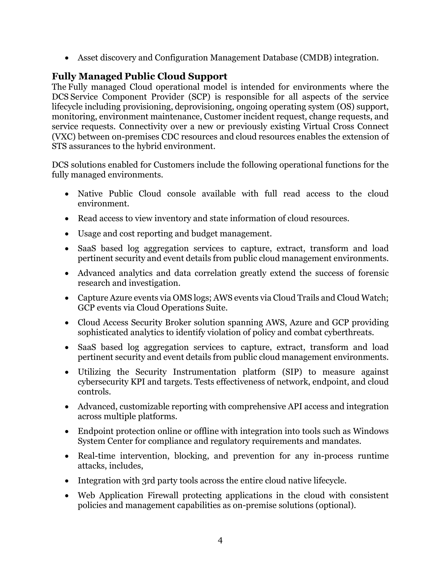• Asset discovery and Configuration Management Database (CMDB) integration.

# **Fully Managed Public Cloud Support**

   service requests. Connectivity over a new or previously existing Virtual Cross Connect     (VXC) between on-premises CDC resources and cloud resources enables the extension of The Fully managed Cloud operational model is intended for environments where the DCS Service Component Provider (SCP) is responsible for all aspects of the service lifecycle including provisioning, deprovisioning, ongoing operating system (OS) support, monitoring, environment maintenance, Customer incident request, change requests, and STS assurances to the hybrid environment.

DCS solutions enabled for Customers include the following operational functions for the fully managed environments.

- Native Public Cloud console available with full read access to the cloud environment.
- Read access to view inventory and state information of cloud resources.
- Usage and cost reporting and budget management.
- SaaS based log aggregation services to capture, extract, transform and load pertinent security and event details from public cloud management environments.
- Advanced analytics and data correlation greatly extend the success of forensic research and investigation.
- Capture Azure events via OMS logs; AWS events via Cloud Trails and Cloud Watch; GCP events via Cloud Operations Suite.
- Cloud Access Security Broker solution spanning AWS, Azure and GCP providing sophisticated analytics to identify violation of policy and combat cyberthreats.
- SaaS based log aggregation services to capture, extract, transform and load pertinent security and event details from public cloud management environments.
- Utilizing the Security Instrumentation platform (SIP) to measure against cybersecurity KPI and targets. Tests effectiveness of network, endpoint, and cloud controls.
- Advanced, customizable reporting with comprehensive API access and integration across multiple platforms.
- Endpoint protection online or offline with integration into tools such as Windows System Center for compliance and regulatory requirements and mandates.
- Real-time intervention, blocking, and prevention for any in-process runtime attacks, includes,
- Integration with 3rd party tools across the entire cloud native lifecycle.
- Web Application Firewall protecting applications in the cloud with consistent policies and management capabilities as on-premise solutions (optional).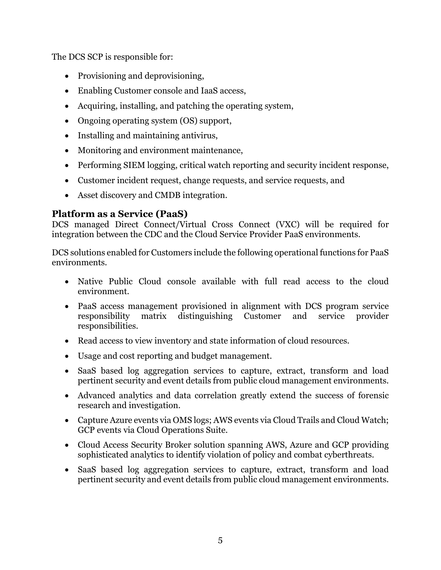The DCS SCP is responsible for:

- Provisioning and deprovisioning,
- Enabling Customer console and IaaS access,
- Acquiring, installing, and patching the operating system,
- Ongoing operating system (OS) support,
- Installing and maintaining antivirus,
- Monitoring and environment maintenance,
- Performing SIEM logging, critical watch reporting and security incident response,
- Customer incident request, change requests, and service requests, and
- Asset discovery and CMDB integration.

## **Platform as a Service (PaaS)**

DCS managed Direct Connect/Virtual Cross Connect (VXC) will be required for integration between the CDC and the Cloud Service Provider PaaS environments.

DCS solutions enabled for Customers include the following operational functions for PaaS environments.

- Native Public Cloud console available with full read access to the cloud environment.
- PaaS access management provisioned in alignment with DCS program service responsibility matrix distinguishing Customer and service provider responsibilities.
- Read access to view inventory and state information of cloud resources.
- Usage and cost reporting and budget management.
- SaaS based log aggregation services to capture, extract, transform and load pertinent security and event details from public cloud management environments.
- Advanced analytics and data correlation greatly extend the success of forensic research and investigation.
- Capture Azure events via OMS logs; AWS events via Cloud Trails and Cloud Watch; GCP events via Cloud Operations Suite.
- Cloud Access Security Broker solution spanning AWS, Azure and GCP providing sophisticated analytics to identify violation of policy and combat cyberthreats.
- SaaS based log aggregation services to capture, extract, transform and load pertinent security and event details from public cloud management environments.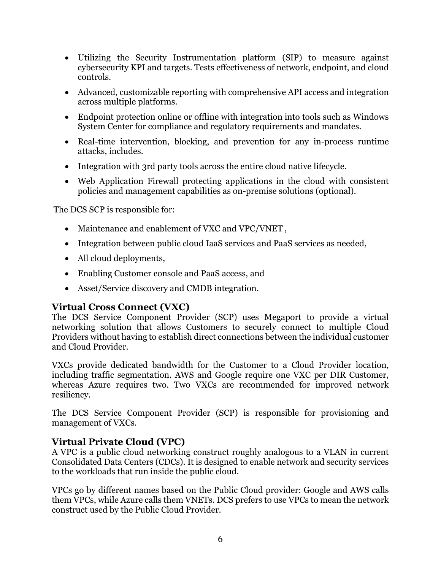- Utilizing the Security Instrumentation platform (SIP) to measure against cybersecurity KPI and targets. Tests effectiveness of network, endpoint, and cloud controls.
- Advanced, customizable reporting with comprehensive API access and integration across multiple platforms.
- Endpoint protection online or offline with integration into tools such as Windows System Center for compliance and regulatory requirements and mandates.
- Real-time intervention, blocking, and prevention for any in-process runtime attacks, includes.
- Integration with 3rd party tools across the entire cloud native lifecycle.
- Web Application Firewall protecting applications in the cloud with consistent policies and management capabilities as on-premise solutions (optional).

The DCS SCP is responsible for:

- Maintenance and enablement of VXC and VPC/VNET ,
- Integration between public cloud IaaS services and PaaS services as needed,
- All cloud deployments,
- Enabling Customer console and PaaS access, and
- Asset/Service discovery and CMDB integration.

# **Virtual Cross Connect (VXC)**

The DCS Service Component Provider (SCP) uses Megaport to provide a virtual networking solution that allows Customers to securely connect to multiple Cloud Providers without having to establish direct connections between the individual customer and Cloud Provider.

VXCs provide dedicated bandwidth for the Customer to a Cloud Provider location, including traffic segmentation. AWS and Google require one VXC per DIR Customer, whereas Azure requires two. Two VXCs are recommended for improved network resiliency.

The DCS Service Component Provider (SCP) is responsible for provisioning and management of VXCs.

## **Virtual Private Cloud (VPC)**

A VPC is a public cloud networking construct roughly analogous to a VLAN in current Consolidated Data Centers (CDCs). It is designed to enable network and security services to the workloads that run inside the public cloud.

VPCs go by different names based on the Public Cloud provider: Google and AWS calls them VPCs, while Azure calls them VNETs. DCS prefers to use VPCs to mean the network construct used by the Public Cloud Provider.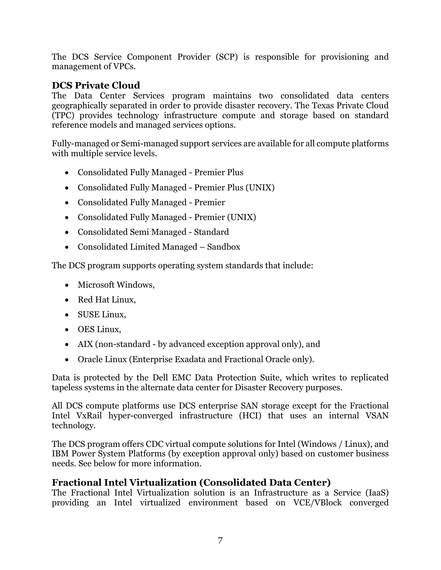The DCS Service Component Provider (SCP) is responsible for provisioning and management of VPCs.

## **DCS Private Cloud**

The Data Center Services program maintains two consolidated data centers geographically separated in order to provide disaster recovery. The Texas Private Cloud (TPC) provides technology infrastructure compute and storage based on standard reference models and managed services options.

 Fully-managed or Semi-managed support services are available for all compute platforms with multiple service levels.

- Consolidated Fully Managed Premier Plus
- Consolidated Fully Managed Premier Plus (UNIX)
- Consolidated Fully Managed Premier
- Consolidated Fully Managed Premier (UNIX)
- Consolidated Semi Managed Standard
- Consolidated Limited Managed Sandbox

The DCS program supports operating system standards that include:

- Microsoft Windows,
- Red Hat Linux,
- SUSE Linux,
- OES Linux,
- AIX (non-standard by advanced exception approval only), and
- Oracle Linux (Enterprise Exadata and Fractional Oracle only).

Data is protected by the Dell EMC Data Protection Suite, which writes to replicated tapeless systems in the alternate data center for Disaster Recovery purposes.

All DCS compute platforms use DCS enterprise SAN storage except for the Fractional Intel VxRail hyper-converged infrastructure (HCI) that uses an internal VSAN technology.

The DCS program offers CDC virtual compute solutions for Intel (Windows / Linux), and IBM Power System Platforms (by exception approval only) based on customer business needs. See below for more information.

## **Fractional Intel Virtualization (Consolidated Data Center)**

The Fractional Intel Virtualization solution is an Infrastructure as a Service (IaaS) providing an Intel virtualized environment based on VCE/VBlock converged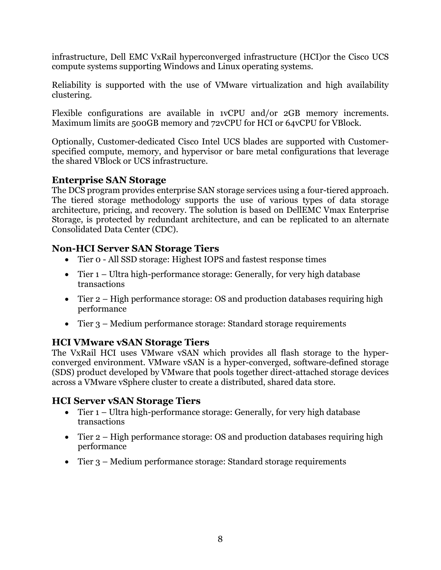infrastructure, Dell EMC VxRail hyperconverged infrastructure (HCI)or the Cisco UCS compute systems supporting Windows and Linux operating systems.

Reliability is supported with the use of VMware virtualization and high availability clustering.

Flexible configurations are available in 1vCPU and/or 2GB memory increments. Maximum limits are 500GB memory and 72vCPU for HCI or 64vCPU for VBlock.

Optionally, Customer-dedicated Cisco Intel UCS blades are supported with Customerspecified compute, memory, and hypervisor or bare metal configurations that leverage the shared VBlock or UCS infrastructure.

#### **Enterprise SAN Storage**

The DCS program provides enterprise SAN storage services using a four-tiered approach. The tiered storage methodology supports the use of various types of data storage architecture, pricing, and recovery. The solution is based on DellEMC Vmax Enterprise Storage, is protected by redundant architecture, and can be replicated to an alternate Consolidated Data Center (CDC).

## **Non-HCI Server SAN Storage Tiers**

- Tier o All SSD storage: Highest IOPS and fastest response times
- Tier 1 Ultra high-performance storage: Generally, for very high database transactions
- Tier 2 High performance storage: OS and production databases requiring high performance
- Tier 3 Medium performance storage: Standard storage requirements

## **HCI VMware vSAN Storage Tiers**

 (SDS) product developed by VMware that pools together direct-attached storage devices The VxRail HCI uses VMware vSAN which provides all flash storage to the hyperconverged environment. VMware vSAN is a hyper-converged, software-defined storage across a VMware vSphere cluster to create a distributed, shared data store.

## **HCI Server vSAN Storage Tiers**

- Tier 1 Ultra high-performance storage: Generally, for very high database transactions
- Tier 2 High performance storage: OS and production databases requiring high performance
- Tier 3 Medium performance storage: Standard storage requirements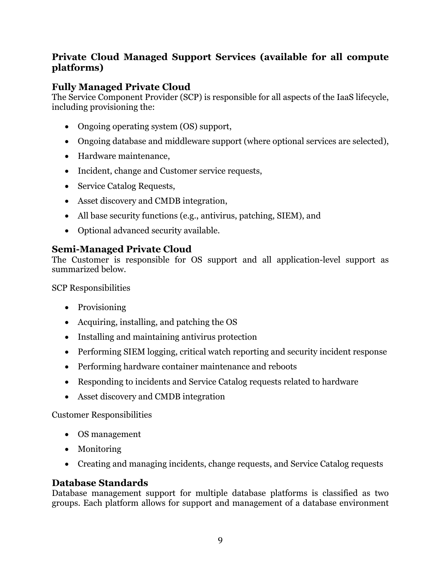# **Private Cloud Managed Support Services (available for all compute platforms)**

# **Fully Managed Private Cloud**

The Service Component Provider (SCP) is responsible for all aspects of the IaaS lifecycle, including provisioning the:

- Ongoing operating system (OS) support,
- Ongoing database and middleware support (where optional services are selected),
- Hardware maintenance,
- Incident, change and Customer service requests,
- Service Catalog Requests,
- Asset discovery and CMDB integration,
- All base security functions (e.g., antivirus, patching, SIEM), and
- Optional advanced security available.

# **Semi-Managed Private Cloud**

The Customer is responsible for OS support and all application-level support as summarized below.

SCP Responsibilities

- Provisioning
- Acquiring, installing, and patching the OS
- Installing and maintaining antivirus protection
- Performing SIEM logging, critical watch reporting and security incident response
- Performing hardware container maintenance and reboots
- Responding to incidents and Service Catalog requests related to hardware
- Asset discovery and CMDB integration

#### Customer Responsibilities

- OS management
- Monitoring
- Creating and managing incidents, change requests, and Service Catalog requests

## **Database Standards**

Database management support for multiple database platforms is classified as two groups. Each platform allows for support and management of a database environment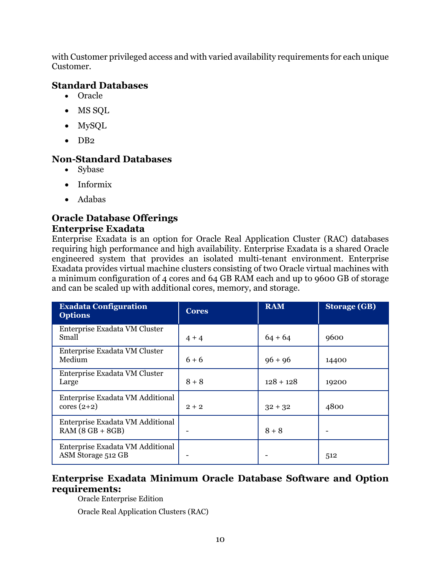with Customer privileged access and with varied availability requirements for each unique Customer.

## **Standard Databases**

- Oracle
- MS SQL
- MySQL
- $\bullet$  DB<sub>2</sub>

## **Non-Standard Databases**

- Sybase
- Informix
- Adabas

#### **Oracle Database Offerings Enterprise Exadata**

Enterprise Exadata is an option for Oracle Real Application Cluster (RAC) databases requiring high performance and high availability. Enterprise Exadata is a shared Oracle engineered system that provides an isolated multi-tenant environment. Enterprise Exadata provides virtual machine clusters consisting of two Oracle virtual machines with a minimum configuration of 4 cores and 64 GB RAM each and up to 9600 GB of storage and can be scaled up with additional cores, memory, and storage.

| <b>Exadata Configuration</b><br><b>Options</b>         | <b>Cores</b> | <b>RAM</b>  | <b>Storage (GB)</b> |
|--------------------------------------------------------|--------------|-------------|---------------------|
| Enterprise Exadata VM Cluster<br>Small                 | $4 + 4$      | $64 + 64$   | 9600                |
| Enterprise Exadata VM Cluster<br>Medium                | $6 + 6$      | $96 + 96$   | 14400               |
| Enterprise Exadata VM Cluster<br>Large                 | $8 + 8$      | $128 + 128$ | 19200               |
| Enterprise Exadata VM Additional<br>$cores(2+2)$       | $2 + 2$      | $32 + 32$   | 4800                |
| Enterprise Exadata VM Additional<br>$RAM (8 GB + 8GB)$ |              | $8 + 8$     |                     |
| Enterprise Exadata VM Additional<br>ASM Storage 512 GB |              |             | 512                 |

# **Enterprise Exadata Minimum Oracle Database Software and Option requirements:**

Oracle Enterprise Edition

Oracle Real Application Clusters (RAC)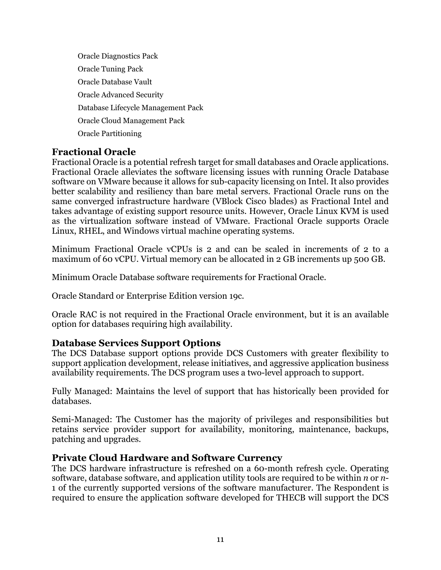Oracle Diagnostics Pack Oracle Tuning Pack Oracle Database Vault Oracle Advanced Security Database Lifecycle Management Pack Oracle Cloud Management Pack Oracle Partitioning

## **Fractional Oracle**

 better scalability and resiliency than bare metal servers. Fractional Oracle runs on the Fractional Oracle is a potential refresh target for small databases and Oracle applications. Fractional Oracle alleviates the software licensing issues with running Oracle Database software on VMware because it allows for sub-capacity licensing on Intel. It also provides same converged infrastructure hardware (VBlock Cisco blades) as Fractional Intel and takes advantage of existing support resource units. However, Oracle Linux KVM is used as the virtualization software instead of VMware. Fractional Oracle supports Oracle Linux, RHEL, and Windows virtual machine operating systems.

Minimum Fractional Oracle vCPUs is 2 and can be scaled in increments of 2 to a maximum of 60 vCPU. Virtual memory can be allocated in 2 GB increments up 500 GB.

Minimum Oracle Database software requirements for Fractional Oracle.

Oracle Standard or Enterprise Edition version 19c.

Oracle RAC is not required in the Fractional Oracle environment, but it is an available option for databases requiring high availability.

#### **Database Services Support Options**

The DCS Database support options provide DCS Customers with greater flexibility to support application development, release initiatives, and aggressive application business availability requirements. The DCS program uses a two-level approach to support.

Fully Managed: Maintains the level of support that has historically been provided for databases.

Semi-Managed: The Customer has the majority of privileges and responsibilities but retains service provider support for availability, monitoring, maintenance, backups, patching and upgrades.

#### **Private Cloud Hardware and Software Currency**

 required to ensure the application software developed for THECB will support the DCS The DCS hardware infrastructure is refreshed on a 60-month refresh cycle. Operating software, database software, and application utility tools are required to be within *n* or *n*-1 of the currently supported versions of the software manufacturer. The Respondent is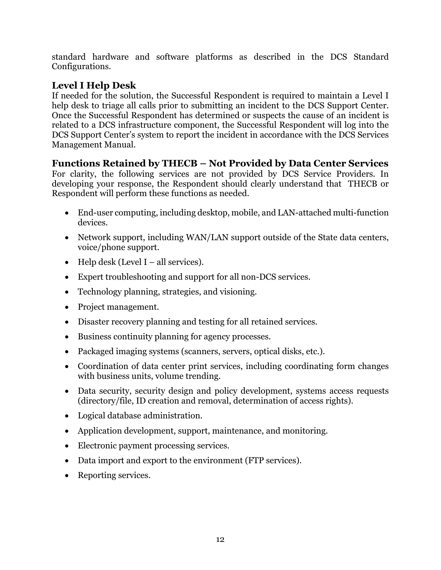standard hardware and software platforms as described in the DCS Standard Configurations.

# **Level I Help Desk**

 Once the Successful Respondent has determined or suspects the cause of an incident is If needed for the solution, the Successful Respondent is required to maintain a Level I help desk to triage all calls prior to submitting an incident to the DCS Support Center. related to a DCS infrastructure component, the Successful Respondent will log into the DCS Support Center's system to report the incident in accordance with the DCS Services Management Manual.

# **Functions Retained by THECB – Not Provided by Data Center Services**

For clarity, the following services are not provided by DCS Service Providers. In developing your response, the Respondent should clearly understand that THECB or Respondent will perform these functions as needed.

- End-user computing, including desktop, mobile, and LAN-attached multi-function devices.
- Network support, including WAN/LAN support outside of the State data centers, voice/phone support.
- Help desk (Level I all services).
- Expert troubleshooting and support for all non-DCS services.
- Technology planning, strategies, and visioning.
- Project management.
- Disaster recovery planning and testing for all retained services.
- Business continuity planning for agency processes.
- Packaged imaging systems (scanners, servers, optical disks, etc.).
- Coordination of data center print services, including coordinating form changes with business units, volume trending.
- Data security, security design and policy development, systems access requests (directory/file, ID creation and removal, determination of access rights).
- Logical database administration.
- Application development, support, maintenance, and monitoring.
- Electronic payment processing services.
- Data import and export to the environment (FTP services).
- Reporting services.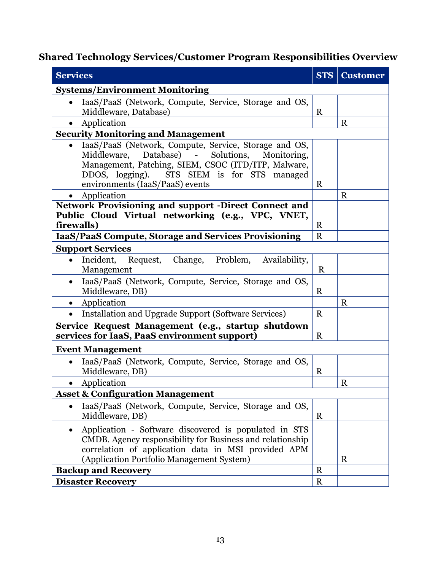# **Shared Technology Services/Customer Program Responsibilities Overview**

| <b>Services</b>                                                                                                                                                                                                                                                     | <b>STS</b>  | <b>Customer</b> |  |  |
|---------------------------------------------------------------------------------------------------------------------------------------------------------------------------------------------------------------------------------------------------------------------|-------------|-----------------|--|--|
| <b>Systems/Environment Monitoring</b>                                                                                                                                                                                                                               |             |                 |  |  |
| IaaS/PaaS (Network, Compute, Service, Storage and OS,<br>$\bullet$<br>Middleware, Database)                                                                                                                                                                         | $\mathbf R$ |                 |  |  |
| Application                                                                                                                                                                                                                                                         |             | $\mathbf R$     |  |  |
| <b>Security Monitoring and Management</b>                                                                                                                                                                                                                           |             |                 |  |  |
| IaaS/PaaS (Network, Compute, Service, Storage and OS,<br>$\bullet$<br>Solutions, Monitoring,<br>Middleware, Database) -<br>Management, Patching, SIEM, CSOC (ITD/ITP, Malware,<br>STS SIEM is for STS managed<br>DDOS, logging).<br>environments (IaaS/PaaS) events |             |                 |  |  |
| Application                                                                                                                                                                                                                                                         |             | $\mathbf R$     |  |  |
| <b>Network Provisioning and support -Direct Connect and</b><br>Public Cloud Virtual networking (e.g., VPC, VNET,<br>firewalls)                                                                                                                                      | R           |                 |  |  |
| IaaS/PaaS Compute, Storage and Services Provisioning                                                                                                                                                                                                                | $\mathbf R$ |                 |  |  |
| <b>Support Services</b>                                                                                                                                                                                                                                             |             |                 |  |  |
| Incident, Request, Change, Problem,<br>Availability,<br>Management                                                                                                                                                                                                  | $\mathbf R$ |                 |  |  |
| IaaS/PaaS (Network, Compute, Service, Storage and OS,<br>Middleware, DB)                                                                                                                                                                                            | $\mathbf R$ |                 |  |  |
| Application                                                                                                                                                                                                                                                         |             | $\mathbf R$     |  |  |
| Installation and Upgrade Support (Software Services)<br>$\bullet$                                                                                                                                                                                                   | R           |                 |  |  |
| Service Request Management (e.g., startup shutdown<br>services for IaaS, PaaS environment support)                                                                                                                                                                  |             |                 |  |  |
| <b>Event Management</b>                                                                                                                                                                                                                                             |             |                 |  |  |
| IaaS/PaaS (Network, Compute, Service, Storage and OS,<br>Middleware, DB)                                                                                                                                                                                            | R           |                 |  |  |
| Application<br>$\bullet$                                                                                                                                                                                                                                            |             | $\mathbf R$     |  |  |
| <b>Asset &amp; Configuration Management</b>                                                                                                                                                                                                                         |             |                 |  |  |
| IaaS/PaaS (Network, Compute, Service, Storage and OS,<br>Middleware, DB)                                                                                                                                                                                            | $\mathbf R$ |                 |  |  |
| Application - Software discovered is populated in STS<br>CMDB. Agency responsibility for Business and relationship<br>correlation of application data in MSI provided APM<br>(Application Portfolio Management System)                                              |             | $\mathbf R$     |  |  |
| <b>Backup and Recovery</b>                                                                                                                                                                                                                                          |             |                 |  |  |
| <b>Disaster Recovery</b>                                                                                                                                                                                                                                            |             |                 |  |  |